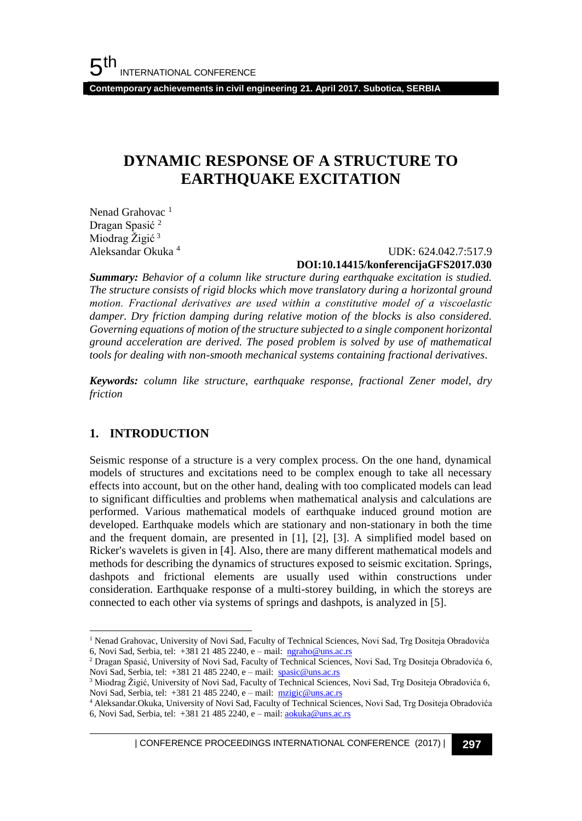**Contemporary achievements in civil engineering 21. April 2017. Subotica, SERBIA**

## **DYNAMIC RESPONSE OF A STRUCTURE TO EARTHQUAKE EXCITATION**

Nenad Grahovac<sup>1</sup> Dragan Spasić <sup>2</sup> Miodrag Žigić <sup>3</sup> Aleksandar Okuka <sup>4</sup>

 UDK: 624.042.7:517.9 **DOI:10.14415/konferencijaGFS2017.030**

*Summary: Behavior of a column like structure during earthquake excitation is studied. The structure consists of rigid blocks which move translatory during a horizontal ground motion. Fractional derivatives are used within a constitutive model of а viscoelastic damper. Dry friction damping during relative motion of the blocks is also considered. Governing equations of motion of the structure subjected to a single component horizontal ground acceleration are derived. The posed problem is solved by use of mathematical tools for dealing with non-smooth mechanical systems containing fractional derivatives.* 

*Keywords: column like structure, earthquake response, fractional Zener model, dry friction*

### **1. INTRODUCTION**

l

Seismic response of a structure is a very complex process. On the one hand, dynamical models of structures and excitations need to be complex enough to take all necessary effects into account, but on the other hand, dealing with too complicated models can lead to significant difficulties and problems when mathematical analysis and calculations are performed. Various mathematical models of earthquake induced ground motion are developed. Earthquake models which are stationary and non-stationary in both the time and the frequent domain, are presented in [1], [2], [3]. A simplified model based on Ricker's wavelets is given in [4]. Also, there are many different mathematical models and methods for describing the dynamics of structures exposed to seismic excitation. Springs, dashpots and frictional elements are usually used within constructions under consideration. Earthquake response of a multi-storey building, in which the storeys are connected to each other via systems of springs and dashpots, is analyzed in [5].

| CONFERENCE PROCEEDINGS INTERNATIONAL CONFERENCE (2017) <sup>|</sup>**297**

<sup>&</sup>lt;sup>1</sup> Nenad Grahovac, University of Novi Sad, Faculty of Technical Sciences, Novi Sad, Trg Dositeja Obradovića 6, Novi Sad, Serbia, tel: +381 21 485 2240, e – mail: [ngraho@uns.ac.rs](mailto:sreckovic@gf.uns.ac.rs)

<sup>&</sup>lt;sup>2</sup> Dragan Spasić, University of Novi Sad, Faculty of Technical Sciences, Novi Sad, Trg Dositeja Obradovića 6, Novi Sad, Serbia, tel: +381 21 485 2240, e – mail: [spasic@uns.ac.rs](mailto:sreckovic@gf.uns.ac.rs)

<sup>&</sup>lt;sup>3</sup> Miodrag Žigić, University of Novi Sad, Faculty of Technical Sciences, Novi Sad, Trg Dositeja Obradovića 6, Novi Sad, Serbia, tel: +381 21 485 2240, e – mail: [mzigic@uns.ac.rs](mailto:sreckovic@gf.uns.ac.rs)

<sup>4</sup> Aleksandar.Okuka, University of Novi Sad, Faculty of Technical Sciences, Novi Sad, Trg Dositeja Obradovića 6, Novi Sad, Serbia, tel: +381 21 485 2240, e – mail[: aokuka@uns.ac.rs](mailto:sreckovic@gf.uns.ac.rs)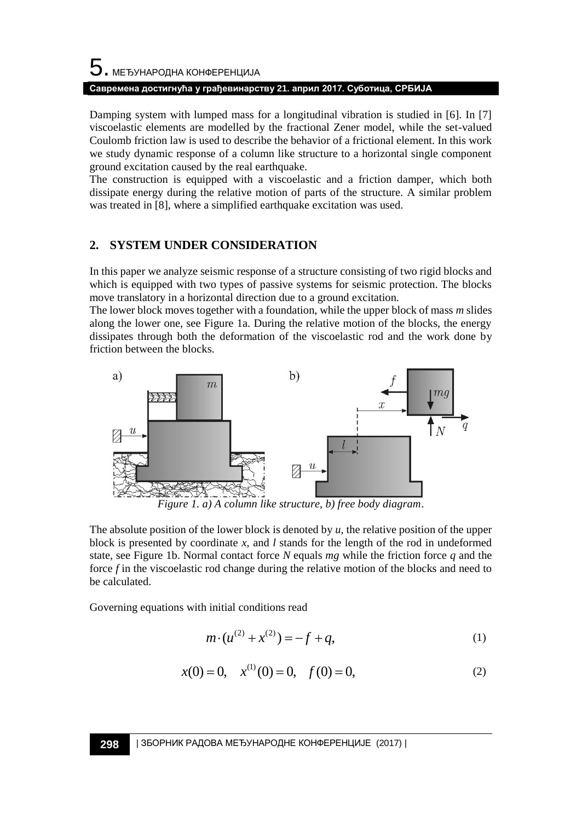# $\mathbf 5$ . међународна конференција **Савремена достигнућа у грађевинарству 21. април 2017. Суботица, СРБИЈА**

Damping system with lumped mass for a longitudinal vibration is studied in [6]. In [7] viscoelastic elements are modelled by the fractional Zener model, while the set-valued Coulomb friction law is used to describe the behavior of a frictional element. In this work we study dynamic response of a column like structure to a horizontal single component ground excitation caused by the real earthquake.

The construction is equipped with a viscoelastic and a friction damper, which both dissipate energy during the relative motion of parts of the structure. A similar problem was treated in [8], where a simplified earthquake excitation was used.

### **2. SYSTEM UNDER CONSIDERATION**

In this paper we analyze seismic response of a structure consisting of two rigid blocks and which is equipped with two types of passive systems for seismic protection. The blocks move translatory in a horizontal direction due to a ground excitation.

The lower block moves together with a foundation, while the upper block of mass *m* slides along the lower one, see Figure 1a. During the relative motion of the blocks, the energy dissipates through both the deformation of the viscoelastic rod and the work done by friction between the blocks.



*Figure 1. a) A column like structure, b) free body diagram*.

The absolute position of the lower block is denoted by *u*, the relative position of the upper block is presented by coordinate *x*, and *l* stands for the length of the rod in undeformed state, see Figure 1b. Normal contact force *N* equals *mg* while the friction force *q* and the force *f* in the viscoelastic rod change during the relative motion of the blocks and need to be calculated.

Governing equations with initial conditions read

$$
m \cdot (u^{(2)} + x^{(2)}) = -f + q,\tag{1}
$$

$$
x(0) = 0, \quad x^{(1)}(0) = 0, \quad f(0) = 0,
$$
 (2)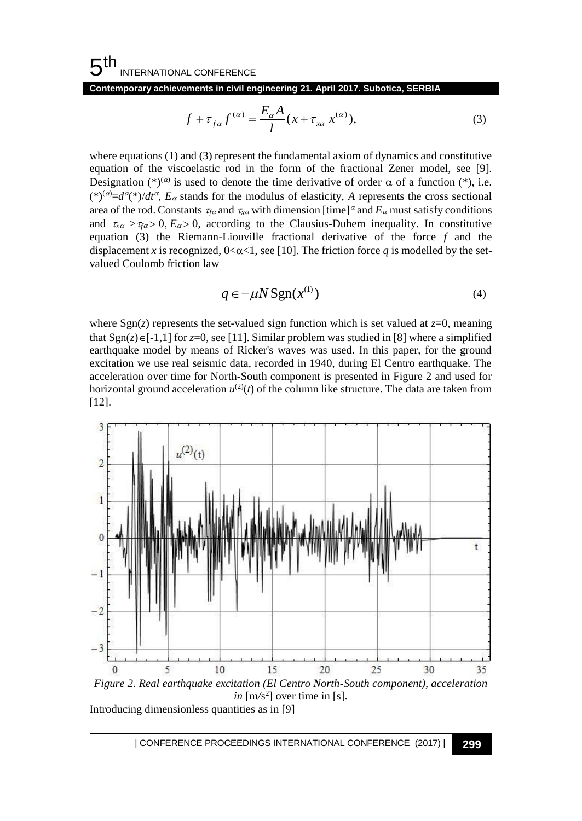#### 5 th INTERNATIONAL CONFERENCE

**Contemporary achievements in civil engineering 21. April 2017. Subotica, SERBIA**

$$
f + \tau_{fa} f^{(\alpha)} = \frac{E_{\alpha} A}{l} (x + \tau_{xa} x^{(\alpha)}),
$$
 (3)

where equations (1) and (3) represent the fundamental axiom of dynamics and constitutive equation of the viscoelastic rod in the form of the fractional Zener model, see [9]. Designation (\*)<sup>( $\alpha$ )</sup> is used to denote the time derivative of order  $\alpha$  of a function (\*), i.e.  $(*)^{(\alpha)} = d^{\alpha}(*)/dt^{\alpha}$ ,  $E_{\alpha}$  stands for the modulus of elasticity, *A* represents the cross sectional area of the rod. Constants  $\tau_f \alpha$  and  $\tau_{x\alpha}$  with dimension [time]<sup> $\alpha$ </sup> and  $E_\alpha$  must satisfy conditions and  $\tau_{x\alpha} > \tau_{f\alpha} > 0$ ,  $E_{\alpha} > 0$ , according to the Clausius-Duhem inequality. In constitutive equation (3) the Riemann-Liouville fractional derivative of the force *f* and the displacement *x* is recognized,  $0 < \alpha < 1$ , see [10]. The friction force *q* is modelled by the setvalued Coulomb friction law

$$
q \in -\mu N \text{Sgn}(x^{(1)}) \tag{4}
$$

where  $\text{Sgn}(z)$  represents the set-valued sign function which is set valued at  $z=0$ , meaning that  $Sgn(z) \in [-1,1]$  for  $z=0$ , see [11]. Similar problem was studied in [8] where a simplified earthquake model by means of Ricker's waves was used. In this paper, for the ground excitation we use real seismic data, recorded in 1940, during El Centro earthquake. The acceleration over time for North-South component is presented in Figure 2 and used for horizontal ground acceleration  $u^{(2)}(t)$  of the column like structure. The data are taken from [12].

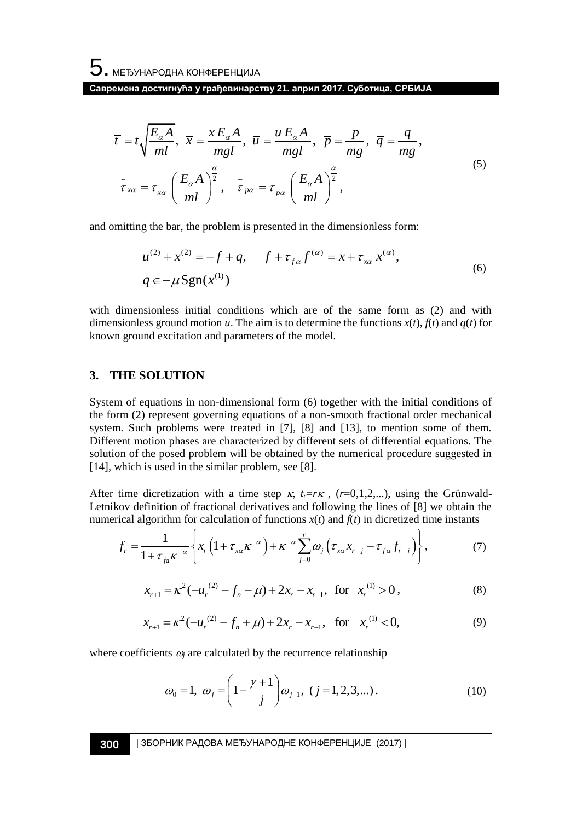**Савремена достигнућа у грађевинарству 21. април 2017. Суботица, СРБИЈА**

$$
\overline{\tau} = t \sqrt{\frac{E_{\alpha}A}{ml}}, \ \overline{x} = \frac{x E_{\alpha}A}{mgl}, \ \overline{u} = \frac{u E_{\alpha}A}{mgl}, \ \overline{p} = \frac{p}{mg}, \ \overline{q} = \frac{q}{mg},
$$
\n
$$
\overline{\tau}_{x\alpha} = \tau_{x\alpha} \left(\frac{E_{\alpha}A}{ml}\right)^{\frac{\alpha}{2}}, \ \overline{\tau}_{p\alpha} = \tau_{p\alpha} \left(\frac{E_{\alpha}A}{ml}\right)^{\frac{\alpha}{2}},
$$
\n(5)

and omitting the bar, the problem is presented in the dimensionless form:  
\n
$$
u^{(2)} + x^{(2)} = -f + q, \quad f + \tau_{fa} f^{(\alpha)} = x + \tau_{xa} x^{(\alpha)},
$$
\n
$$
q \in -\mu \text{Sgn}(x^{(1)})
$$
\n(6)

with dimensionless initial conditions which are of the same form as (2) and with dimensionless ground motion *u*. The aim is to determine the functions  $x(t)$ ,  $f(t)$  and  $q(t)$  for known ground excitation and parameters of the model.

#### **3. THE SOLUTION**

System of equations in non-dimensional form (6) together with the initial conditions of the form (2) represent governing equations of a non-smooth fractional order mechanical system. Such problems were treated in [7], [8] and [13], to mention some of them. Different motion phases are characterized by different sets of differential equations. The solution of the posed problem will be obtained by the numerical procedure suggested in [14], which is used in the similar problem, see [8].

After time dicretization with a time step  $\kappa$ ,  $t=r\kappa$ ,  $(r=0,1,2,...)$ , using the Grünwald-Letnikov definition of fractional derivatives and following the lines of [8] we obtain the fractional derivatives and following the lines of [8] we obta<br>or calculation of functions  $x(t)$  and  $f(t)$  in dicretized time insta<br> $\begin{bmatrix} x(1+\tau & \kappa^{-\alpha}) + \kappa^{-\alpha} \sum_{i=1}^{r} \omega_i (\tau & x - \tau \omega_i f_i) \end{bmatrix}$ .

numerical algorithm for calculation of functions 
$$
x(t)
$$
 and  $f(t)$  in directed time instants  
\n
$$
f_r = \frac{1}{1 + \tau_{fa} \kappa^{-\alpha}} \left\{ x_r \left( 1 + \tau_{xa} \kappa^{-\alpha} \right) + \kappa^{-\alpha} \sum_{j=0}^r \omega_j \left( \tau_{xa} x_{r-j} - \tau_{fa} f_{r-j} \right) \right\},
$$
\n(7)

$$
x_{r+1} = \kappa^2 (-u_r^{(2)} - f_n - \mu) + 2x_r - x_{r-1}, \text{ for } x_r^{(1)} > 0,
$$
\n(8)

$$
x_{r+1} = \kappa \left( u_r - y_n - \mu \right) + 2x_r - x_{r-1}, \text{ for } x_r > 0,
$$
\n
$$
x_{r+1} = \kappa^2 \left( -u_r^{(2)} - f_n + \mu \right) + 2x_r - x_{r-1}, \text{ for } x_r^{(1)} < 0,
$$
\n(9)

where coefficients  $\omega_i$  are calculated by the recurrence relationship

$$
\omega_0 = 1, \ \omega_j = \left(1 - \frac{\gamma + 1}{j}\right)\omega_{j-1}, \ (j = 1, 2, 3, \ldots).
$$
 (10)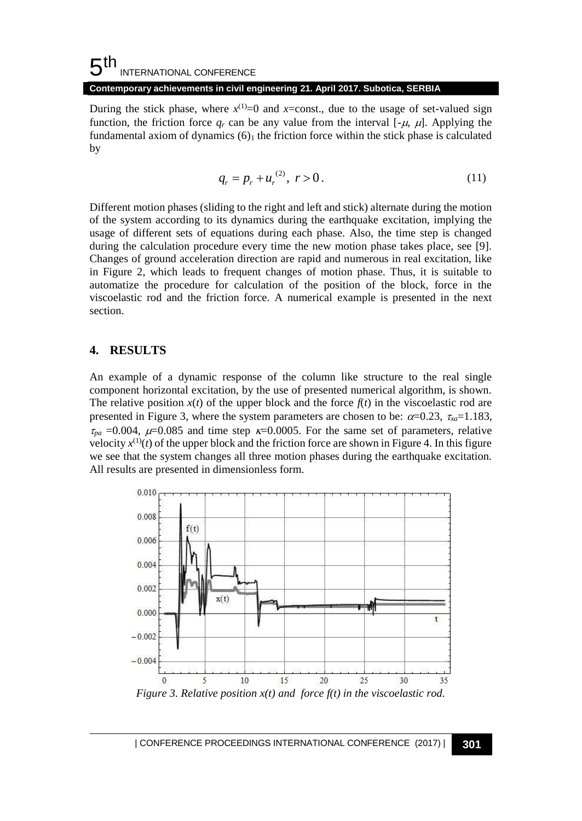#### 5 th INTERNATIONAL CONFERENCE

#### **Contemporary achievements in civil engineering 21. April 2017. Subotica, SERBIA**

During the stick phase, where  $x^{(1)}=0$  and  $x=const.$ , due to the usage of set-valued sign function, the friction force  $q_r$  can be any value from the interval  $[-\mu, \mu]$ . Applying the fundamental axiom of dynamics  $(6)_1$  the friction force within the stick phase is calculated by

$$
q_r = p_r + u_r^{(2)}, \ r > 0.
$$
 (11)

Different motion phases (sliding to the right and left and stick) alternate during the motion of the system according to its dynamics during the earthquake excitation, implying the usage of different sets of equations during each phase. Also, the time step is changed during the calculation procedure every time the new motion phase takes place, see [9]. Changes of ground acceleration direction are rapid and numerous in real excitation, like in Figure 2, which leads to frequent changes of motion phase. Thus, it is suitable to automatize the procedure for calculation of the position of the block, force in the viscoelastic rod and the friction force. A numerical example is presented in the next section.

#### **4. RESULTS**

An example of a dynamic response of the column like structure to the real single component horizontal excitation, by the use of presented numerical algorithm, is shown. The relative position  $x(t)$  of the upper block and the force  $f(t)$  in the viscoelastic rod are presented in Figure 3, where the system parameters are chosen to be:  $\alpha$ =0.23,  $\tau_{\rm xa}$ =1.183,  $\tau_{pa}$  =0.004,  $\mu$ =0.085 and time step  $\kappa$ =0.0005. For the same set of parameters, relative velocity  $x^{(1)}(t)$  of the upper block and the friction force are shown in Figure 4. In this figure we see that the system changes all three motion phases during the earthquake excitation. All results are presented in dimensionless form.

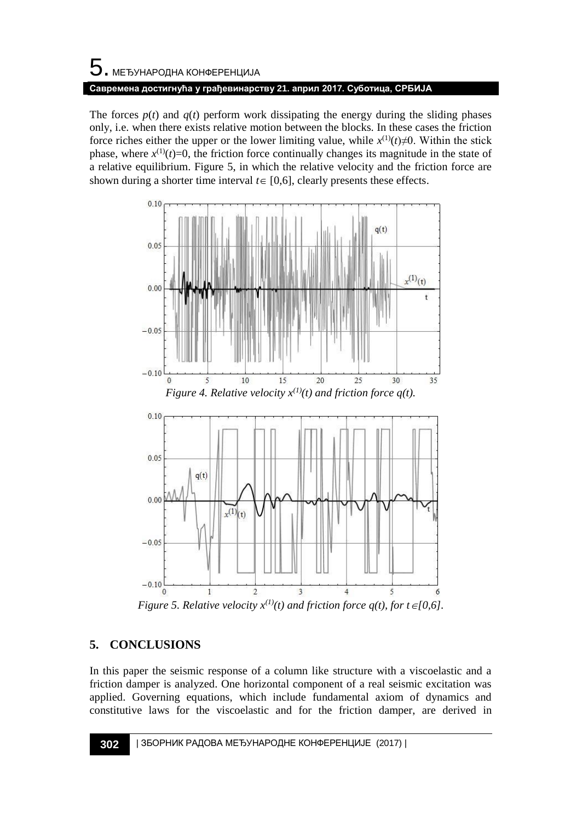# 5. МЕЂУНАРОДНА КОНФЕРЕНЦИЈА **Савремена достигнућа у грађевинарству 21. април 2017. Суботица, СРБИЈА**

The forces  $p(t)$  and  $q(t)$  perform work dissipating the energy during the sliding phases only, i.e. when there exists relative motion between the blocks. In these cases the friction force riches either the upper or the lower limiting value, while  $x^{(1)}(t) \neq 0$ . Within the stick phase, where  $x^{(1)}(t)=0$ , the friction force continually changes its magnitude in the state of a relative equilibrium. Figure 5, in which the relative velocity and the friction force are shown during a shorter time interval  $t \in [0,6]$ , clearly presents these effects.



*Figure 5. Relative velocity*  $x^{(1)}(t)$  and friction force  $q(t)$ , for  $t \in [0,6]$ .

## **5. CONCLUSIONS**

In this paper the seismic response of a column like structure with a viscoelastic and a friction damper is analyzed. One horizontal component of a real seismic excitation was applied. Governing equations, which include fundamental axiom of dynamics and constitutive laws for the viscoelastic and for the friction damper, are derived in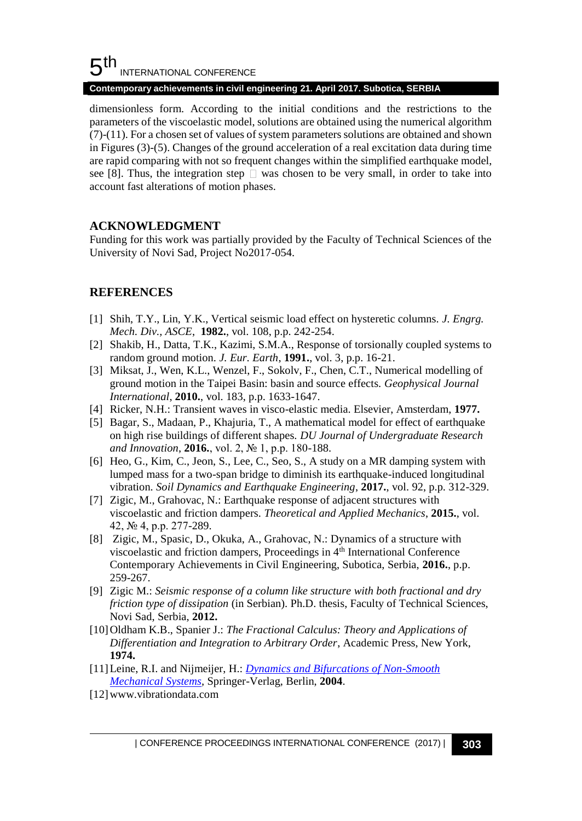#### 5 th INTERNATIONAL CONFERENCE

### **Contemporary achievements in civil engineering 21. April 2017. Subotica, SERBIA**

dimensionless form. According to the initial conditions and the restrictions to the parameters of the viscoelastic model, solutions are obtained using the numerical algorithm (7)-(11). For a chosen set of values of system parameters solutions are obtained and shown in Figures (3)-(5). Changes of the ground acceleration of a real excitation data during time are rapid comparing with not so frequent changes within the simplified earthquake model, see [8]. Thus, the integration step  $\Box$  was chosen to be very small, in order to take into account fast alterations of motion phases.

### **ACKNOWLEDGMENT**

Funding for this work was partially provided by the Faculty of Technical Sciences of the University of Novi Sad, Project No2017-054.

## **REFERENCES**

- [1] Shih, T.Y., Lin, Y.K., Vertical seismic load effect on hysteretic columns. *J. Engrg. Mech. Div., ASCE*, **1982.**, vol. 108, p.p. 242-254.
- [2] Shakib, H., Datta, T.K., Kazimi, S.M.A., Response of torsionally coupled systems to random ground motion. *J. Eur. Earth*, **1991.**, vol. 3, p.p. 16-21.
- [3] Miksat, J., Wen, K.L., Wenzel, F., Sokolv, F., Chen, C.T., Numerical modelling of ground motion in the Taipei Basin: basin and source effects. *Geophysical Journal International*, **2010.**, vol. 183, p.p. 1633-1647.
- [4] Ricker, N.H.: Transient waves in visco-elastic media. Elsevier, Amsterdam, **1977.**
- [5] Bagar, S., Madaan, P., Khajuria, T., A mathematical model for effect of earthquake on high rise buildings of different shapes. *DU Journal of Undergraduate Research and Innovation*, **2016.**, vol. 2, № 1, p.p. 180-188.
- [6] Heo, G., Kim, C., Jeon, S., Lee, C., Seo, S., A study on a MR damping system with lumped mass for a two-span bridge to diminish its earthquake-induced longitudinal vibration. *Soil Dynamics and Earthquake Engineering*, **2017.**, vol. 92, p.p. 312-329.
- [7] Zigic, M., Grahovac, N.: Earthquake response of adjacent structures with viscoelastic and friction dampers. *Theoretical and Applied Mechanics*, **2015.**, vol. 42, № 4, p.p. 277-289.
- [8] Zigic, M., Spasic, D., Okuka, A., Grahovac, N.: Dynamics of a structure with viscoelastic and friction dampers, Proceedings in 4<sup>th</sup> International Conference Contemporary Achievements in Civil Engineering, Subotica, Serbia, **2016.**, p.p. 259-267.
- [9] Zigic M.: *Seismic response of a column like structure with both fractional and dry friction type of dissipation* (in Serbian). Ph.D. thesis, Faculty of Technical Sciences, Novi Sad, Serbia, **2012.**
- [10]Oldham K.B., Spanier J.: *The Fractional Calculus: Theory and Applications of Differentiation and Integration to Arbitrary Order*, Academic Press, New York, **1974.**
- [11]Leine, R.I. and Nijmeijer, H.: *[Dynamics and Bifurcations of Non-Smooth](http://www.springer.com/mathematics/analysis/book/978-3-540-21987-3)  [Mechanical Systems,](http://www.springer.com/mathematics/analysis/book/978-3-540-21987-3)* Springer-Verlag, Berlin, **2004**.
- [12]www.vibrationdata.com